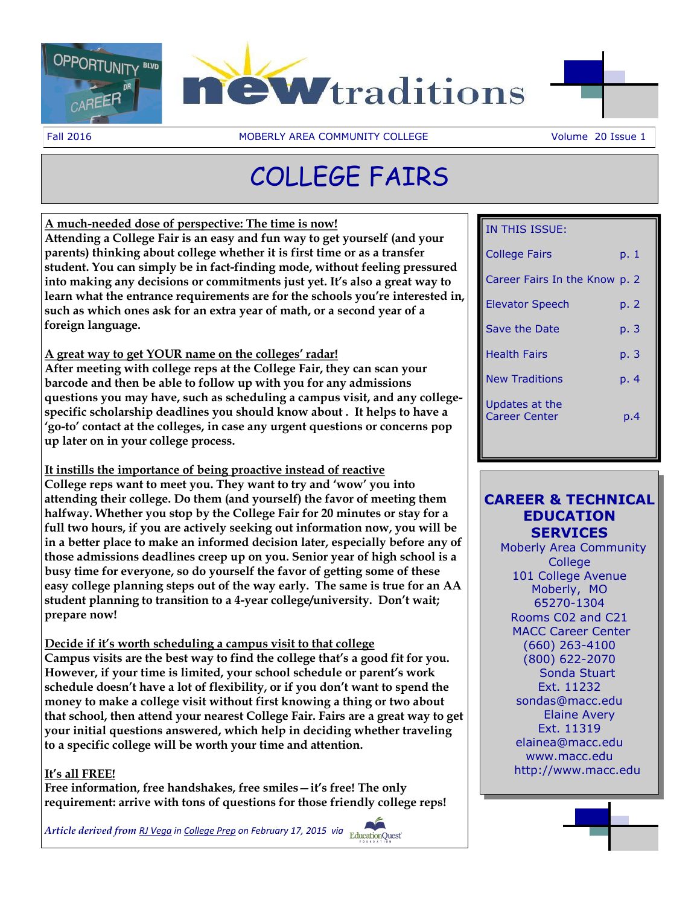



Fall 2016 **MOBERLY AREA COMMUNITY COLLEGE** Volume 20 Issue 1

# COLLEGE FAIRS

**A much-needed dose of perspective: The time is now! Attending a College Fair is an easy and fun way to get yourself (and your parents) thinking about college whether it is first time or as a transfer student. You can simply be in fact-finding mode, without feeling pressured into making any decisions or commitments just yet. It's also a great way to learn what the entrance requirements are for the schools you're interested in, such as which ones ask for an extra year of math, or a second year of a foreign language.**

#### **A great way to get YOUR name on the colleges' radar!**

**After meeting with college reps at the College Fair, they can scan your barcode and then be able to follow up with you for any admissions questions you may have, such as scheduling a campus visit, and any collegespecific scholarship deadlines you should know about . It helps to have a 'go-to' contact at the colleges, in case any urgent questions or concerns pop up later on in your college process.**

**It instills the importance of being proactive instead of reactive College reps want to meet you. They want to try and 'wow' you into** 

**attending their college. Do them (and yourself) the favor of meeting them halfway. Whether you stop by the College Fair for 20 minutes or stay for a full two hours, if you are actively seeking out information now, you will be in a better place to make an informed decision later, especially before any of those admissions deadlines creep up on you. Senior year of high school is a busy time for everyone, so do yourself the favor of getting some of these easy college planning steps out of the way early. The same is true for an AA student planning to transition to a 4-year college/university. Don't wait; prepare now!**

**Decide if it's worth scheduling a campus visit to that college**

**Campus visits are the best way to find the college that's a good fit for you. However, if your time is limited, your school schedule or parent's work schedule doesn't have a lot of flexibility, or if you don't want to spend the money to make a college visit without first knowing a thing or two about that school, then attend your nearest College Fair. Fairs are a great way to get your initial questions answered, which help in deciding whether traveling to a specific college will be worth your time and attention.**

#### **It's all FREE!**

**Free information, free handshakes, free smiles—it's free! The only requirement: arrive with tons of questions for those friendly college reps!**

*Article derived from [RJ Vega](https://www.educationquest.org/blog/author/romuloveducationquest-org/) in [College Prep](https://www.educationquest.org/blog/tag/college-prep/) on February 17, 2015 via* 

#### IN THIS ISSUE:

| <b>College Fairs</b>                   | p. 1 |
|----------------------------------------|------|
| Career Fairs In the Know p. 2          |      |
| <b>Elevator Speech</b>                 | p. 2 |
| Save the Date                          | p. 3 |
| <b>Health Fairs</b>                    | p. 3 |
| <b>New Traditions</b>                  | p. 4 |
| Updates at the<br><b>Career Center</b> | p.4  |

### **CAREER & TECHNICAL EDUCATION SERVICES**

 Moberly Area Community **College** 101 College Avenue Moberly, MO 65270-1304 Rooms C02 and C21 MACC Career Center (660) 263-4100 (800) 622-2070 Sonda Stuart Ext. 11232 sondas@macc.edu Elaine Avery Ext. 11319 elainea@macc.edu www.macc.edu http://www.macc.edu

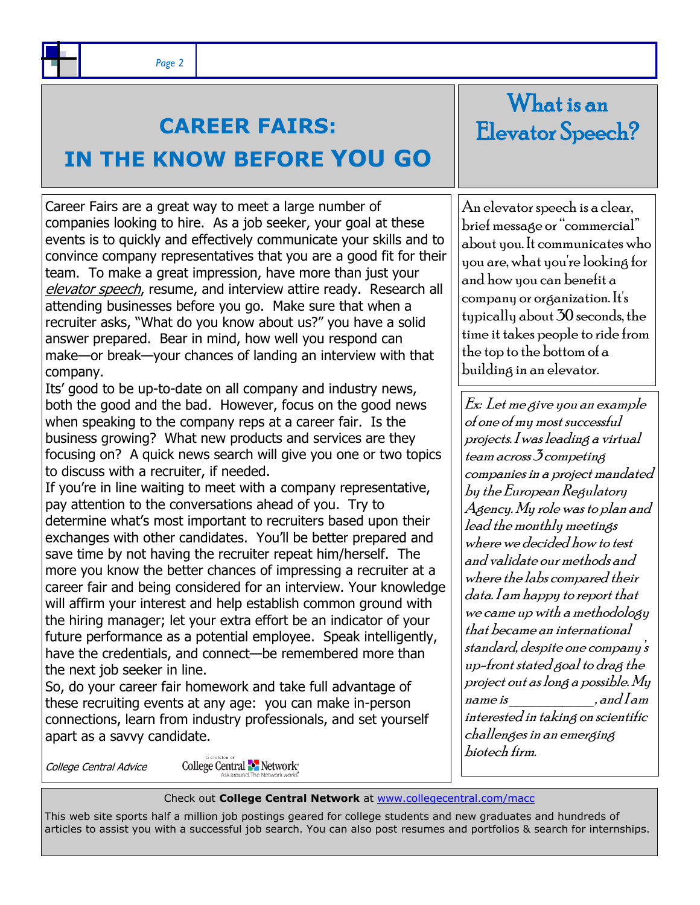### **CAREER FAIRS:**

## **IN THE KNOW BEFORE YOU GO**

Career Fairs are a great way to meet a large number of companies looking to hire. As a job seeker, your goal at these events is to quickly and effectively communicate your skills and to convince company representatives that you are a good fit for their team. To make a great impression, have more than just your elevator speech, resume, and interview attire ready. Research all attending businesses before you go. Make sure that when a recruiter asks, "What do you know about us?" you have a solid answer prepared. Bear in mind, how well you respond can make—or break—your chances of landing an interview with that company.

Its' good to be up-to-date on all company and industry news, both the good and the bad. However, focus on the good news when speaking to the company reps at a career fair. Is the business growing? What new products and services are they focusing on? A quick news search will give you one or two topics to discuss with a recruiter, if needed.

If you're in line waiting to meet with a company representative, pay attention to the conversations ahead of you. Try to determine what's most important to recruiters based upon their exchanges with other candidates. You'll be better prepared and save time by not having the recruiter repeat him/herself. The more you know the better chances of impressing a recruiter at a career fair and being considered for an interview. Your knowledge will affirm your interest and help establish common ground with the hiring manager; let your extra effort be an indicator of your future performance as a potential employee. Speak intelligently, have the credentials, and connect—be remembered more than the next job seeker in line.

So, do your career fair homework and take full advantage of these recruiting events at any age: you can make in-person connections, learn from industry professionals, and set yourself apart as a savvy candidate.

College Central Advice

College Central **-** Network<sup>\*</sup>

What is an Elevator Speech?

An elevator speech is a clear, brief message or "commercial" about you. It communicates who you are, what you're looking for and how you can benefit a company or organization. It's typically about 30 seconds, the time it takes people to ride from the top to the bottom of a building in an elevator.

Ex: Let me give you an example of one of my most successful projects. I was leading a virtual team across 3 competing companies in a project mandated by the European Regulatory Agency. My role was to plan and lead the monthly meetings where we decided how to test and validate our methods and where the labs compared their data. I am happy to report that we came up with a methodology that became an international standard, despite one company's up-front stated goal to drag the project out as long a possible. My  $name is$   $and$   $land$   $lam$ interested in taking on scientific challenges in an emerging biotech firm.

Check out **College Central Network** at [www.collegecentral.com/macc](http://www.collegecentral.com/macc) 

This web site sports half a million job postings geared for college students and new graduates and hundreds of articles to assist you with a successful job search. You can also post resumes and portfolios & search for internships.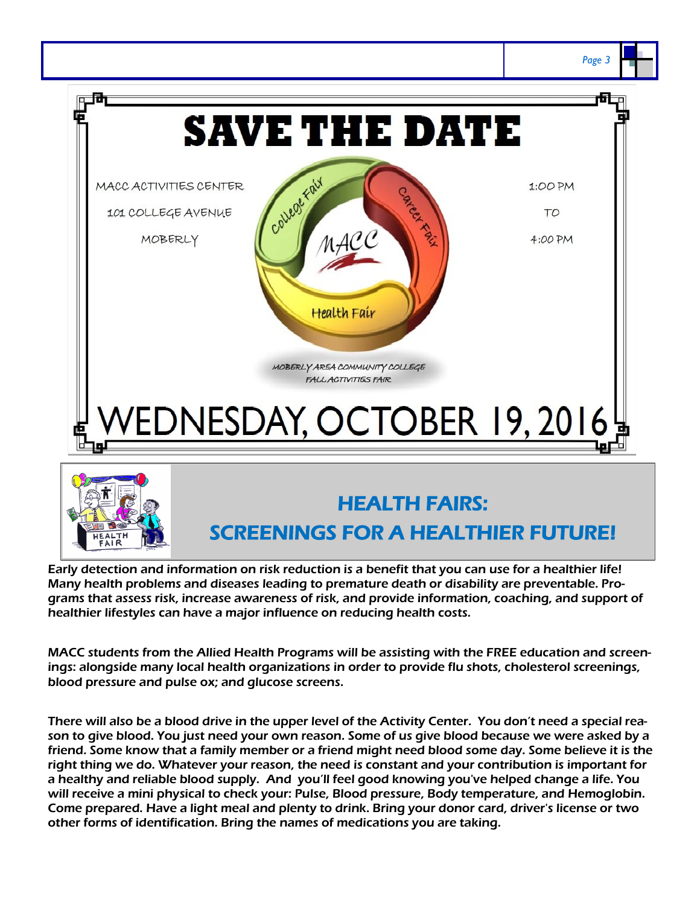

Early detection and information on risk reduction is a benefit that you can use for a healthier life! Many health problems and diseases leading to premature death or disability are preventable. Programs that assess risk, increase awareness of risk, and provide information, coaching, and support of healthier lifestyles can have a major influence on reducing health costs.

MACC students from the Allied Health Programs will be assisting with the FREE education and screenings: alongside many local health organizations in order to provide flu shots, cholesterol screenings, blood pressure and pulse ox; and glucose screens.

There will also be a blood drive in the upper level of the Activity Center. You don't need a special reason to give blood. You just need your own reason. Some of us give blood because we were asked by a friend. Some know that a family member or a friend might need blood some day. Some believe it is the right thing we do. Whatever your reason, the need is constant and your contribution is important for a healthy and reliable blood supply. And you'll feel good knowing you've helped change a life. You will receive a mini physical to check your: Pulse, Blood pressure, Body temperature, and Hemoglobin. Come prepared. Have a light meal and plenty to drink. Bring your donor card, driver's license or two other forms of identification. Bring the names of medications you are taking.